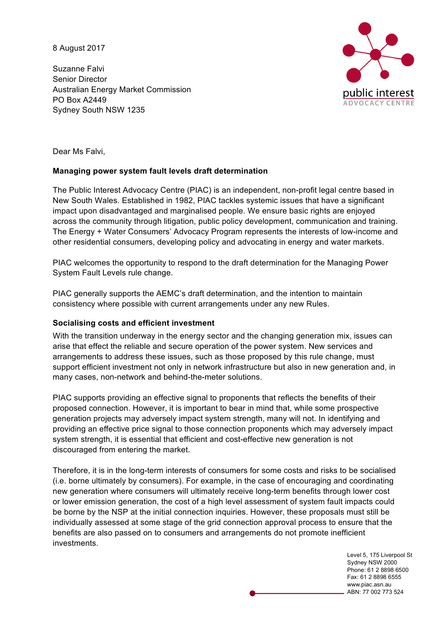8 August 2017

Suzanne Falvi Senior Director Australian Energy Market Commission PO Box A2449 Sydney South NSW 1235



Dear Ms Falvi,

### **Managing power system fault levels draft determination**

The Public Interest Advocacy Centre (PIAC) is an independent, non-profit legal centre based in New South Wales. Established in 1982, PIAC tackles systemic issues that have a significant impact upon disadvantaged and marginalised people. We ensure basic rights are enjoyed across the community through litigation, public policy development, communication and training. The Energy + Water Consumers' Advocacy Program represents the interests of low-income and other residential consumers, developing policy and advocating in energy and water markets.

PIAC welcomes the opportunity to respond to the draft determination for the Managing Power System Fault Levels rule change.

PIAC generally supports the AEMC's draft determination, and the intention to maintain consistency where possible with current arrangements under any new Rules.

#### **Socialising costs and efficient investment**

With the transition underway in the energy sector and the changing generation mix, issues can arise that effect the reliable and secure operation of the power system. New services and arrangements to address these issues, such as those proposed by this rule change, must support efficient investment not only in network infrastructure but also in new generation and, in many cases, non-network and behind-the-meter solutions.

PIAC supports providing an effective signal to proponents that reflects the benefits of their proposed connection. However, it is important to bear in mind that, while some prospective generation projects may adversely impact system strength, many will not. In identifying and providing an effective price signal to those connection proponents which may adversely impact system strength, it is essential that efficient and cost-effective new generation is not discouraged from entering the market.

Therefore, it is in the long-term interests of consumers for some costs and risks to be socialised (i.e. borne ultimately by consumers). For example, in the case of encouraging and coordinating new generation where consumers will ultimately receive long-term benefits through lower cost or lower emission generation, the cost of a high level assessment of system fault impacts could be borne by the NSP at the initial connection inquiries. However, these proposals must still be individually assessed at some stage of the grid connection approval process to ensure that the benefits are also passed on to consumers and arrangements do not promote inefficient investments.

> Level 5, 175 Liverpool St Sydney NSW 2000 Phone: 61 2 8898 6500 Fax: 61 2 8898 6555 www.piac.asn.au ABN: 77 002 773 524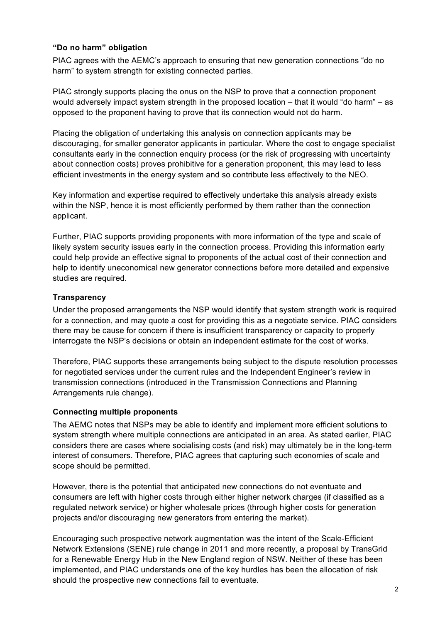# **"Do no harm" obligation**

PIAC agrees with the AEMC's approach to ensuring that new generation connections "do no harm" to system strength for existing connected parties.

PIAC strongly supports placing the onus on the NSP to prove that a connection proponent would adversely impact system strength in the proposed location – that it would "do harm" – as opposed to the proponent having to prove that its connection would not do harm.

Placing the obligation of undertaking this analysis on connection applicants may be discouraging, for smaller generator applicants in particular. Where the cost to engage specialist consultants early in the connection enquiry process (or the risk of progressing with uncertainty about connection costs) proves prohibitive for a generation proponent, this may lead to less efficient investments in the energy system and so contribute less effectively to the NEO.

Key information and expertise required to effectively undertake this analysis already exists within the NSP, hence it is most efficiently performed by them rather than the connection applicant.

Further, PIAC supports providing proponents with more information of the type and scale of likely system security issues early in the connection process. Providing this information early could help provide an effective signal to proponents of the actual cost of their connection and help to identify uneconomical new generator connections before more detailed and expensive studies are required.

## **Transparency**

Under the proposed arrangements the NSP would identify that system strength work is required for a connection, and may quote a cost for providing this as a negotiate service. PIAC considers there may be cause for concern if there is insufficient transparency or capacity to properly interrogate the NSP's decisions or obtain an independent estimate for the cost of works.

Therefore, PIAC supports these arrangements being subject to the dispute resolution processes for negotiated services under the current rules and the Independent Engineer's review in transmission connections (introduced in the Transmission Connections and Planning Arrangements rule change).

## **Connecting multiple proponents**

The AEMC notes that NSPs may be able to identify and implement more efficient solutions to system strength where multiple connections are anticipated in an area. As stated earlier, PIAC considers there are cases where socialising costs (and risk) may ultimately be in the long-term interest of consumers. Therefore, PIAC agrees that capturing such economies of scale and scope should be permitted.

However, there is the potential that anticipated new connections do not eventuate and consumers are left with higher costs through either higher network charges (if classified as a regulated network service) or higher wholesale prices (through higher costs for generation projects and/or discouraging new generators from entering the market).

Encouraging such prospective network augmentation was the intent of the Scale-Efficient Network Extensions (SENE) rule change in 2011 and more recently, a proposal by TransGrid for a Renewable Energy Hub in the New England region of NSW. Neither of these has been implemented, and PIAC understands one of the key hurdles has been the allocation of risk should the prospective new connections fail to eventuate.